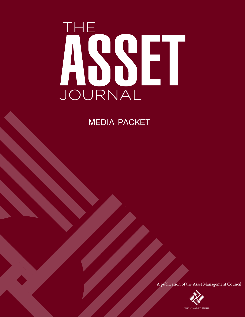# ASSET JOURNAL

## MEDIA PACKET

A publication of the Asset Management Council

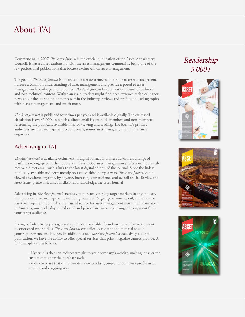## About TAJ

Commencing in 2007, *The Asset Journal* is the official publication of the Asset Management Council. It has a close relationship with the asset management community, being one of the few professional publications that focuses exclusively on asset management.

The goal of *The Asset Journal* is to create broader awareness of the value of asset management, nurture a common understanding of asset management and provide a portal to asset management knowledge and resources. *The Asset Journal* features various forms of technical and non-technical content. Within an issue, readers might find peer-reviewed technical papers, news about the latest developments within the industry, reviews and profiles on leading topics within asset management, and much more.

*The Asset Journal* is published four times per year and is available digitally. The estimated circulation is over 5,000, in which a direct email is sent to all members and non-members referencing the publically available link for viewing and reading. The Journal's primary audiences are asset management practitioners, senior asset managers, and maintenance engineers.

#### Advertising in TAJ

*The Asset Journal* is available exclusively in digital format and offers advertisers a range of platforms to engage with their audience. Over 5,000 asset management professionals currently receive a direct email with a link to the latest digital edition of the journal. Since the link is publically available and permanently housed on third-party servers, *The Asset Journal* can be viewed anywhere, anytime, by anyone, increasing our audience and overall reach. To view the latest issue, please visit amcouncil.com.au/knowledge/the-asset-journal

Advertising in *The Asset Journal* enables you to reach your key target markets in any industry that practices asset management, including water, oil & gas, government, rail, etc. Since the Asset Management Council is the trusted source for asset management news and information in Australia, our readership is dedicated and passionate, meaning stronger engagement from your target audience.

A range of advertising packages and options are available, from basic one-off advertisements to sponsored case studies, *The Asset Journal* can tailor its content and material to suit your requirements and budget. In addition, since *The Asset Journal* is exclusively a digital publication, we have the ability to offer special services that print magazine cannot provide. A few examples are as follows:

- Hyperlinks that can redirect straight to your company's website, making it easier for customer to enter the purchase cycle.

- Video overlays that can promote a new product, project or company profile in an exciting and engaging way.

### Readership 5,000+